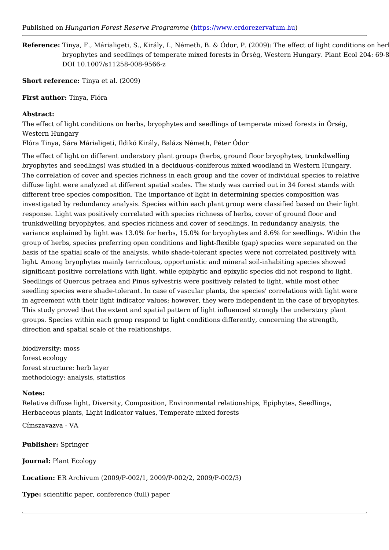Published Houm garian Forest Reserve Protogt pasm/mwww.erdorezervatum.hu

Referenceinya, F., Márialigeti, S., Király, I., Németh, B. & Ódor, P. (2009): The  $\epsilon$ bryophytes and seedlings of temperate mixed forests in Prség. Western H DOI 10.1007/s11258-008-9566-z

Short referendenya et al. (2009)

First autholrinya, Flóra

Abstract:

The effect of light conditions on herbs, bryophytes and seedlings of temperate mi Western Hungary

Flóra Tinya, Sára Márialigeti, Ildikó Király, Balázs Németh, Péter Ódor

The effect of light on different understory plant groups (herbs, ground floor bryop bryophytes and seedlings) was studied in a deciduous-coniferous mixed woodland The correlation of cover and species richness in each group and the cover of indi diffuse light were analyzed at different spatial scales. The study was carried out different tree species composition. The importance of light in determining species investigated by redundancy analysis. Species within each plant group were classi response. Light was positively correlated with species richness of herbs, cover of trunkdwelling bryophytes, and species richness and cover of seedlings. In redund variance explained by light was 13.0% for herbs, 15.0% for bryophytes and 8.6% for group of herbs, species preferring open conditions and light-flexible (gap) specie basis of the spatial scale of the analysis, while shade-tolerant species were not of light. Among bryophytes mainly terricolous, opportunistic and mineral soil-inhabit significant positive correlations with light, while epiphytic and epixylic species d Seedlings of Quercus petraea and Pinus sylvestris were positively related to light seedling species were shade-tolerant. In case of vascular plants, the species' co in agreement with their light indicator values; however, they were independent in This study proved that the extent and spatial pattern of light influenced strongly groups. Species within each group respond to light conditions differently, concern direction and spatial scale of the relationships.

biodiversity: moss forest ecology forest structure: herb layer methodology: analysis, statistics

## Notes:

Relative diffuse light, Diversity, Composition, Environmental relationships, Epiph Herbaceous plants, Light indicator values, Temperate mixed forests

Címszavazva - VA

Publishe Springer

JournalPlant Ecology

Location: ER Archívum (2009/P-002/1, 2009/P-002/2, 2009/P-002/3)

Typescientific paper, conference (full) paper